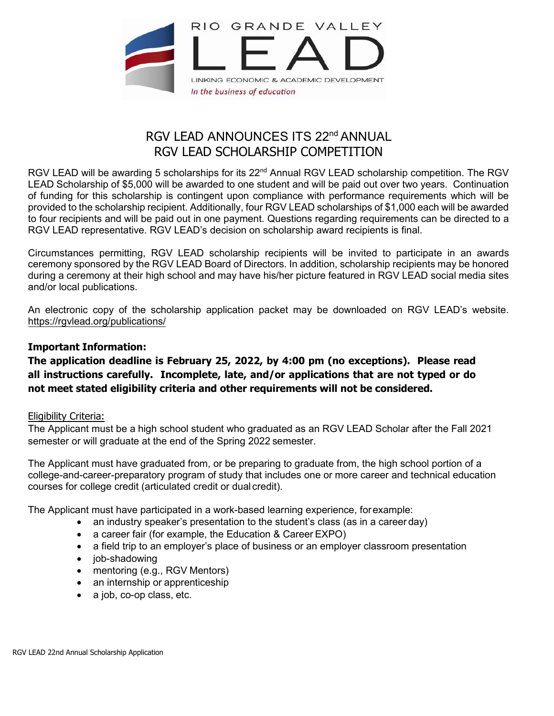

# RGV LEAD ANNOUNCES ITS 22<sup>nd</sup> ANNUAL RGV LEAD SCHOLARSHIP COMPETITION

RGV LEAD will be awarding 5 scholarships for its 22<sup>nd</sup> Annual RGV LEAD scholarship competition. The RGV LEAD Scholarship of \$5,000 will be awarded to one student and will be paid out over two years. Continuation of funding for this scholarship is contingent upon compliance with performance requirements which will be provided to the scholarship recipient. Additionally, four RGV LEAD scholarships of \$1,000 each will be awarded to four recipients and will be paid out in one payment. Questions regarding requirements can be directed to a RGV LEAD representative. RGV LEAD's decision on scholarship award recipients is final.

Circumstances permitting, RGV LEAD scholarship recipients will be invited to participate in an awards ceremony sponsored by the RGV LEAD Board of Directors. In addition, scholarship recipients may be honored during a ceremony at their high school and may have his/her picture featured in RGV LEAD social media sites and/or local publications.

An electronic copy of the scholarship application packet may be downloaded on RGV LEAD's website. [https://rgvlead.org/publications/](about:blank)

# **Important Information:**

**The application deadline is February 25, 2022, by 4:00 pm (no exceptions). Please read all instructions carefully. Incomplete, late, and/or applications that are not typed or do not meet stated eligibility criteria and other requirements will not be considered.**

## Eligibility Criteria:

The Applicant must be a high school student who graduated as an RGV LEAD Scholar after the Fall 2021 semester or will graduate at the end of the Spring 2022 semester.

The Applicant must have graduated from, or be preparing to graduate from, the high school portion of a college-and-career-preparatory program of study that includes one or more career and technical education courses for college credit (articulated credit or dual credit).

The Applicant must have participated in a work-based learning experience, forexample:

- an industry speaker's presentation to the student's class (as in a career day)
- a career fair (for example, the Education & Career EXPO)
- a field trip to an employer's place of business or an employer classroom presentation
- job-shadowing
- mentoring (e.g., RGV Mentors)
- an internship or apprenticeship
- a job, co-op class, etc.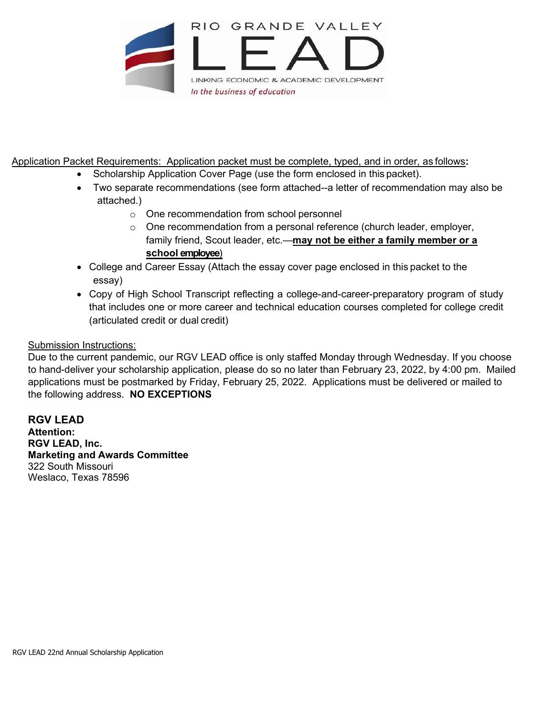

Application Packet Requirements: Application packet must be complete, typed, and in order, as follows**:**

- Scholarship Application Cover Page (use the form enclosed in this packet).
- Two separate recommendations (see form attached--a letter of recommendation may also be attached.)
	- o One recommendation from school personnel
	- o One recommendation from a personal reference (church leader, employer, family friend, Scout leader, etc.—**may not be either a family member or a school employee**)
- College and Career Essay (Attach the essay cover page enclosed in this packet to the essay)
- Copy of High School Transcript reflecting a college-and-career-preparatory program of study that includes one or more career and technical education courses completed for college credit (articulated credit or dual credit)

# Submission Instructions:

Due to the current pandemic, our RGV LEAD office is only staffed Monday through Wednesday. If you choose to hand-deliver your scholarship application, please do so no later than February 23, 2022, by 4:00 pm. Mailed applications must be postmarked by Friday, February 25, 2022. Applications must be delivered or mailed to the following address. **NO EXCEPTIONS**

**RGV LEAD Attention: RGV LEAD, Inc. Marketing and Awards Committee**  322 South Missouri Weslaco, Texas 78596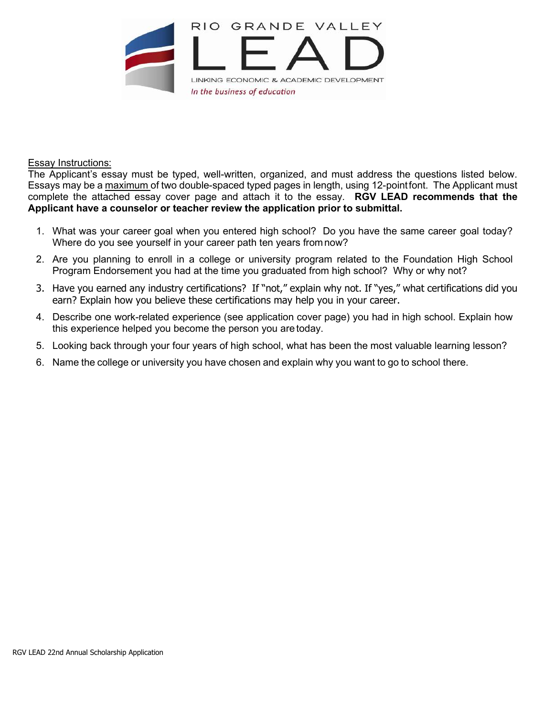

#### Essay Instructions:

The Applicant's essay must be typed, well-written, organized, and must address the questions listed below. Essays may be a maximum of two double-spaced typed pages in length, using 12-pointfont. The Applicant must complete the attached essay cover page and attach it to the essay. **RGV LEAD recommends that the Applicant have a counselor or teacher review the application prior to submittal.**

- 1. What was your career goal when you entered high school? Do you have the same career goal today? Where do you see yourself in your career path ten years fromnow?
- 2. Are you planning to enroll in a college or university program related to the Foundation High School Program Endorsement you had at the time you graduated from high school? Why or why not?
- 3. Have you earned any industry certifications? If "not," explain why not. If "yes," what certifications did you earn? Explain how you believe these certifications may help you in your career.
- 4. Describe one work-related experience (see application cover page) you had in high school. Explain how this experience helped you become the person you are today.
- 5. Looking back through your four years of high school, what has been the most valuable learning lesson?
- 6. Name the college or university you have chosen and explain why you want to go to school there.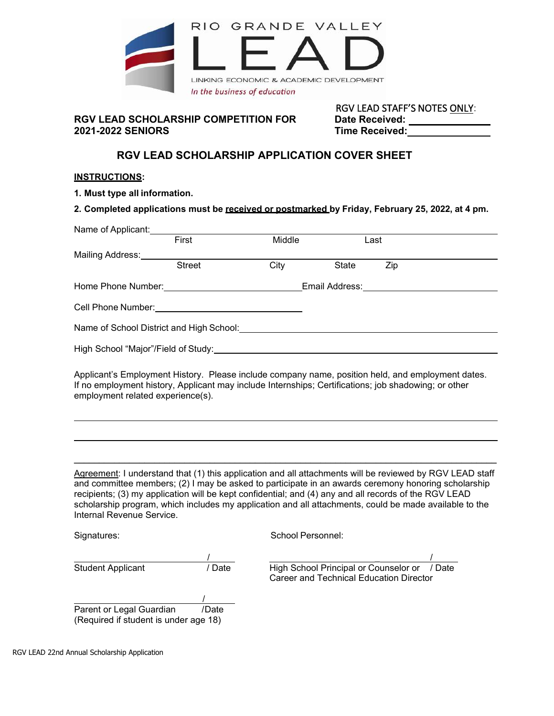

#### **RGV LEAD SCHOLARSHIP COMPETITION FOR Date Received: 2021-2022 SENIORS Time Received:**

RGV LEAD STAFF'S NOTES ONLY:

# **RGV LEAD SCHOLARSHIP APPLICATION COVER SHEET**

#### **INSTRUCTIONS:**

**1. Must type all information.**

**2. Completed applications must be received or postmarked by Friday, February 25, 2022, at 4 pm.**

| Name of Applicant:                                                                                                                                                                                                             |        |       |      |  |
|--------------------------------------------------------------------------------------------------------------------------------------------------------------------------------------------------------------------------------|--------|-------|------|--|
| First                                                                                                                                                                                                                          | Middle |       | Last |  |
| Mailing Address:                                                                                                                                                                                                               |        |       |      |  |
| <b>Street</b>                                                                                                                                                                                                                  | City   | State | Zip  |  |
|                                                                                                                                                                                                                                |        |       |      |  |
|                                                                                                                                                                                                                                |        |       |      |  |
| Name of School District and High School:                                                                                                                                                                                       |        |       |      |  |
| High School "Major"/Field of Study: \\concontent \\contact \\contact \\contact \\contact \\contact \\contact \\contact \\contact \\contact \\contact \\contact \\contact \\contact \\contact \\contact \\contact \\contact \\c |        |       |      |  |
| Applicant's Employment History. Please include company name, position held, and employment dates.                                                                                                                              |        |       |      |  |

If no employment history, Applicant may include Internships; Certifications; job shadowing; or other employment related experience(s).

Agreement: I understand that (1) this application and all attachments will be reviewed by RGV LEAD staff and committee members; (2) I may be asked to participate in an awards ceremony honoring scholarship recipients; (3) my application will be kept confidential; and (4) any and all records of the RGV LEAD scholarship program, which includes my application and all attachments, could be made available to the Internal Revenue Service.

 $\_$  , and the set of the set of the set of the set of the set of the set of the set of the set of the set of the set of the set of the set of the set of the set of the set of the set of the set of the set of the set of th

Signatures: Signatures: School Personnel:

/ \_ / Student Applicant / Date High School Principal or Counselor or / Date Career and Technical Education Director

 $\overline{\phantom{a}}$ Parent or Legal Guardian /Date (Required if student is under age 18)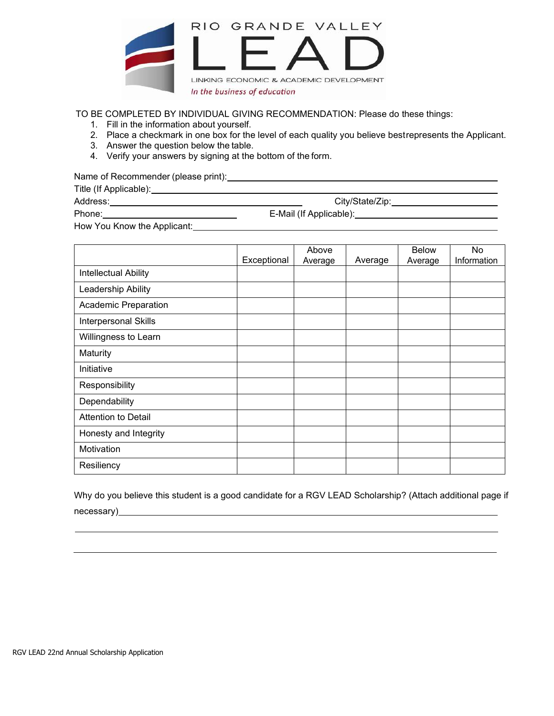

TO BE COMPLETED BY INDIVIDUAL GIVING RECOMMENDATION: Please do these things:

- 1. Fill in the information about yourself.
- 2. Place a checkmark in one box for the level of each quality you believe bestrepresents the Applicant.
- 3. Answer the question below the table.
- 4. Verify your answers by signing at the bottom of the form.

Name of Recommender (please print): \\comes \\comes \\comes \\comes \\comes \\comes \\comes \\comes \\comes \\comes \\comes \\comes \\comes \\comes \\comes \\comes \\comes \\comes \\comes \\comes \\comes \\comes \\comes \\

Title (If Applicable):

Address: Address: Address: City/State/Zip: City/State/Zip: City/State/Zip: City/State/Zip: City/State/Zip: City/State/Zip: City/State/Zip: City/State/Zip: City/State/Zip: City/State/Zip: City/State/Zip: City/State/Zip: Cit

Phone: E-Mail (If Applicable): E-Mail (If Applicable): How You Know the Applicant:

|                             | Exceptional | Above<br>Average | Average | <b>Below</b><br>Average | No<br>Information |
|-----------------------------|-------------|------------------|---------|-------------------------|-------------------|
| Intellectual Ability        |             |                  |         |                         |                   |
| Leadership Ability          |             |                  |         |                         |                   |
| <b>Academic Preparation</b> |             |                  |         |                         |                   |
| Interpersonal Skills        |             |                  |         |                         |                   |
| Willingness to Learn        |             |                  |         |                         |                   |
| Maturity                    |             |                  |         |                         |                   |
| Initiative                  |             |                  |         |                         |                   |
| Responsibility              |             |                  |         |                         |                   |
| Dependability               |             |                  |         |                         |                   |
| <b>Attention to Detail</b>  |             |                  |         |                         |                   |
| Honesty and Integrity       |             |                  |         |                         |                   |
| Motivation                  |             |                  |         |                         |                   |
| Resiliency                  |             |                  |         |                         |                   |

Why do you believe this student is a good candidate for a RGV LEAD Scholarship? (Attach additional page if necessary) and the contract of the contract of the contract of the contract of the contract of the contract of the contract of the contract of the contract of the contract of the contract of the contract of the contract of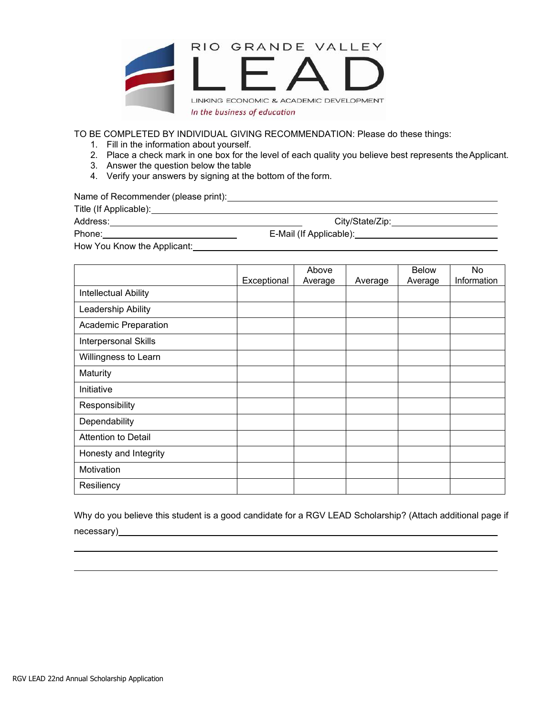

TO BE COMPLETED BY INDIVIDUAL GIVING RECOMMENDATION: Please do these things:

- 1. Fill in the information about yourself.
- 2. Place a check mark in one box for the level of each quality you believe best represents theApplicant.
- 3. Answer the question below the table
- 4. Verify your answers by signing at the bottom of the form.

Name of Recommender (please print): Manual Community of Recommender (please print):

Title (If Applicable):

Address: City/State/Zip:

Phone: E-Mail (If Applicable): E-Mail (If Applicable):

How You Know the Applicant: Manual Accounts and Accounts and Accounts and Accounts are also as a set of the Accounts and Accounts are also as a set of the Accounts and Accounts are also as a set of the Accounts are also as

|                            |             | Above   |         | <b>Below</b> | No          |
|----------------------------|-------------|---------|---------|--------------|-------------|
|                            | Exceptional | Average | Average | Average      | Information |
| Intellectual Ability       |             |         |         |              |             |
| Leadership Ability         |             |         |         |              |             |
| Academic Preparation       |             |         |         |              |             |
| Interpersonal Skills       |             |         |         |              |             |
| Willingness to Learn       |             |         |         |              |             |
| Maturity                   |             |         |         |              |             |
| Initiative                 |             |         |         |              |             |
| Responsibility             |             |         |         |              |             |
| Dependability              |             |         |         |              |             |
| <b>Attention to Detail</b> |             |         |         |              |             |
| Honesty and Integrity      |             |         |         |              |             |
| Motivation                 |             |         |         |              |             |
| Resiliency                 |             |         |         |              |             |

Why do you believe this student is a good candidate for a RGV LEAD Scholarship? (Attach additional page if necessary) and the contract of the contract of the contract of the contract of the contract of the contract of the contract of the contract of the contract of the contract of the contract of the contract of the contract of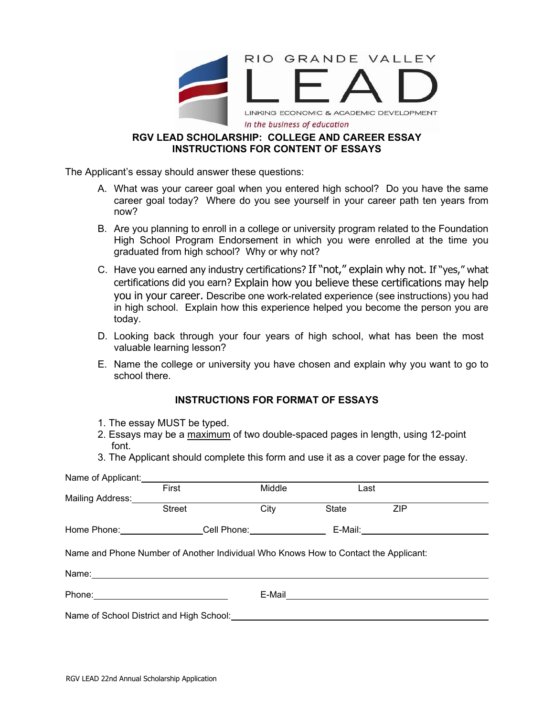

# **RGV LEAD SCHOLARSHIP: COLLEGE AND CAREER ESSAY INSTRUCTIONS FOR CONTENT OF ESSAYS**

The Applicant's essay should answer these questions:

- A. What was your career goal when you entered high school? Do you have the same career goal today? Where do you see yourself in your career path ten years from now?
- B. Are you planning to enroll in a college or university program related to the Foundation High School Program Endorsement in which you were enrolled at the time you graduated from high school? Why or why not?
- C. Have you earned any industry certifications? If "not," explain why not. If "yes," what certifications did you earn? Explain how you believe these certifications may help you in your career. Describe one work-related experience (see instructions) you had in high school. Explain how this experience helped you become the person you are today.
- D. Looking back through your four years of high school, what has been the most valuable learning lesson?
- E. Name the college or university you have chosen and explain why you want to go to school there.

## **INSTRUCTIONS FOR FORMAT OF ESSAYS**

- 1. The essay MUST be typed.
- 2. Essays may be a maximum of two double-spaced pages in length, using 12-point font.
- 3. The Applicant should complete this form and use it as a cover page for the essay.

| Name of Applicant:                                                                                             |                                     |                                                                                     |                                    |            |  |
|----------------------------------------------------------------------------------------------------------------|-------------------------------------|-------------------------------------------------------------------------------------|------------------------------------|------------|--|
|                                                                                                                | First                               | Middle                                                                              | Last                               |            |  |
| Mailing Address:<br>Mailing Address:                                                                           |                                     |                                                                                     |                                    |            |  |
|                                                                                                                | <b>Street</b>                       | City                                                                                | State                              | <b>ZIP</b> |  |
|                                                                                                                | Home Phone: Cell Phone: Cell Phone: |                                                                                     | E-Mail:___________________________ |            |  |
|                                                                                                                |                                     | Name and Phone Number of Another Individual Who Knows How to Contact the Applicant: |                                    |            |  |
| Name: 2008 2010 2020 2020 2020 2021 2021 2022 2022 2022 2022 2022 2022 2022 2022 2022 2022 2022 2022 2022 2022 |                                     |                                                                                     |                                    |            |  |
| Phone: 2008 2010 2010 2010 2010 2021 2022 2023 2024 2022 2023 2024 2022 2023 2024 2022 2023 2024 2025 2026 20  |                                     |                                                                                     |                                    |            |  |
|                                                                                                                |                                     |                                                                                     |                                    |            |  |
|                                                                                                                |                                     |                                                                                     |                                    |            |  |